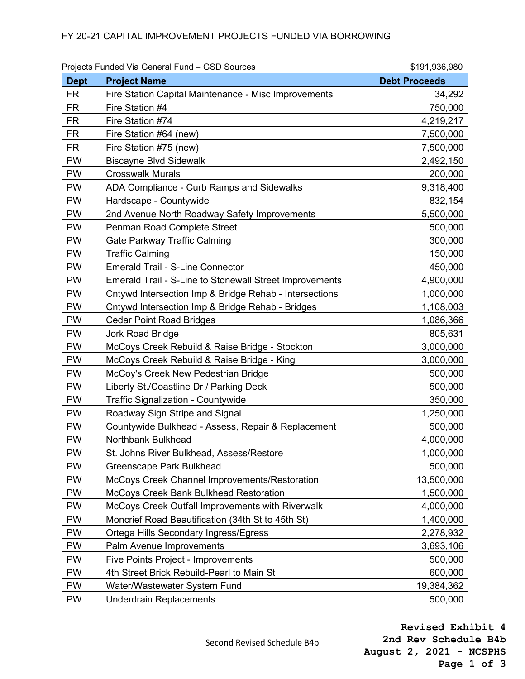|             | Projects Funded Via General Fund - GSD Sources                 | \$191,936,980        |
|-------------|----------------------------------------------------------------|----------------------|
| <b>Dept</b> | <b>Project Name</b>                                            | <b>Debt Proceeds</b> |
| <b>FR</b>   | Fire Station Capital Maintenance - Misc Improvements           | 34,292               |
| <b>FR</b>   | Fire Station #4                                                | 750,000              |
| <b>FR</b>   | Fire Station #74                                               | 4,219,217            |
| <b>FR</b>   | Fire Station #64 (new)                                         | 7,500,000            |
| <b>FR</b>   | Fire Station #75 (new)                                         | 7,500,000            |
| <b>PW</b>   | <b>Biscayne Blvd Sidewalk</b>                                  | 2,492,150            |
| <b>PW</b>   | <b>Crosswalk Murals</b>                                        | 200,000              |
| <b>PW</b>   | ADA Compliance - Curb Ramps and Sidewalks                      | 9,318,400            |
| <b>PW</b>   | Hardscape - Countywide                                         | 832,154              |
| <b>PW</b>   | 2nd Avenue North Roadway Safety Improvements                   | 5,500,000            |
| PW          | Penman Road Complete Street                                    | 500,000              |
| PW          | Gate Parkway Traffic Calming                                   | 300,000              |
| <b>PW</b>   | <b>Traffic Calming</b>                                         | 150,000              |
| <b>PW</b>   | <b>Emerald Trail - S-Line Connector</b>                        | 450,000              |
| <b>PW</b>   | <b>Emerald Trail - S-Line to Stonewall Street Improvements</b> | 4,900,000            |
| <b>PW</b>   | Cntywd Intersection Imp & Bridge Rehab - Intersections         | 1,000,000            |
| <b>PW</b>   | Cntywd Intersection Imp & Bridge Rehab - Bridges               | 1,108,003            |
| <b>PW</b>   | <b>Cedar Point Road Bridges</b>                                | 1,086,366            |
| PW          | Jork Road Bridge                                               | 805,631              |
| <b>PW</b>   | McCoys Creek Rebuild & Raise Bridge - Stockton                 | 3,000,000            |
| PW          | McCoys Creek Rebuild & Raise Bridge - King                     | 3,000,000            |
| <b>PW</b>   | McCoy's Creek New Pedestrian Bridge                            | 500,000              |
| PW          | Liberty St./Coastline Dr / Parking Deck                        | 500,000              |
| <b>PW</b>   | <b>Traffic Signalization - Countywide</b>                      | 350,000              |
| <b>PW</b>   | Roadway Sign Stripe and Signal                                 | 1,250,000            |
| <b>PW</b>   | Countywide Bulkhead - Assess, Repair & Replacement             | 500,000              |
| <b>PW</b>   | Northbank Bulkhead                                             | 4,000,000            |
| PW          | St. Johns River Bulkhead, Assess/Restore                       | 1,000,000            |
| PW          | <b>Greenscape Park Bulkhead</b>                                | 500,000              |
| <b>PW</b>   | McCoys Creek Channel Improvements/Restoration                  | 13,500,000           |
| <b>PW</b>   | McCoys Creek Bank Bulkhead Restoration                         | 1,500,000            |
| <b>PW</b>   | McCoys Creek Outfall Improvements with Riverwalk               | 4,000,000            |
| <b>PW</b>   | Moncrief Road Beautification (34th St to 45th St)              | 1,400,000            |
| <b>PW</b>   | Ortega Hills Secondary Ingress/Egress                          | 2,278,932            |
| <b>PW</b>   | Palm Avenue Improvements                                       | 3,693,106            |
| <b>PW</b>   | <b>Five Points Project - Improvements</b>                      | 500,000              |
| <b>PW</b>   | 4th Street Brick Rebuild-Pearl to Main St                      | 600,000              |
| <b>PW</b>   | Water/Wastewater System Fund                                   | 19,384,362           |
| <b>PW</b>   | <b>Underdrain Replacements</b>                                 | 500,000              |

Second Revised Schedule B4b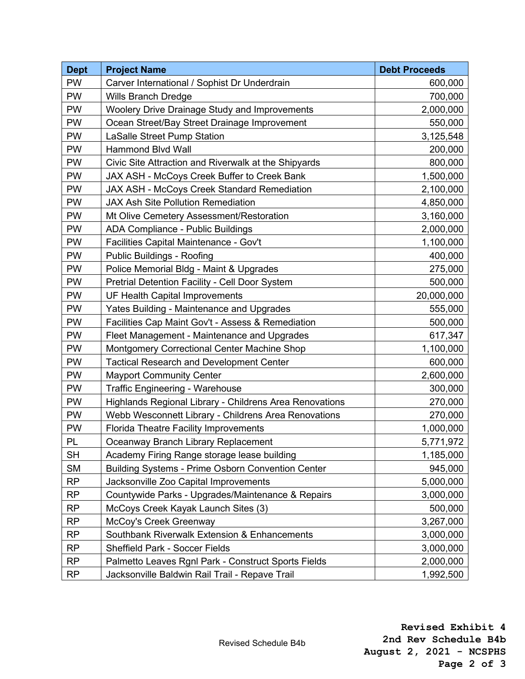| <b>Dept</b> | <b>Project Name</b>                                      | <b>Debt Proceeds</b> |
|-------------|----------------------------------------------------------|----------------------|
| PW          | Carver International / Sophist Dr Underdrain             | 600,000              |
| <b>PW</b>   | <b>Wills Branch Dredge</b>                               | 700,000              |
| <b>PW</b>   | <b>Woolery Drive Drainage Study and Improvements</b>     | 2,000,000            |
| <b>PW</b>   | Ocean Street/Bay Street Drainage Improvement             | 550,000              |
| <b>PW</b>   | <b>LaSalle Street Pump Station</b>                       | 3,125,548            |
| <b>PW</b>   | <b>Hammond Blvd Wall</b>                                 | 200,000              |
| PW          | Civic Site Attraction and Riverwalk at the Shipyards     | 800,000              |
| <b>PW</b>   | JAX ASH - McCoys Creek Buffer to Creek Bank              | 1,500,000            |
| <b>PW</b>   | <b>JAX ASH - McCoys Creek Standard Remediation</b>       | 2,100,000            |
| PW          | <b>JAX Ash Site Pollution Remediation</b>                | 4,850,000            |
| PW          | Mt Olive Cemetery Assessment/Restoration                 | 3,160,000            |
| PW          | ADA Compliance - Public Buildings                        | 2,000,000            |
| PW          | Facilities Capital Maintenance - Gov't                   | 1,100,000            |
| PW          | <b>Public Buildings - Roofing</b>                        | 400,000              |
| <b>PW</b>   | Police Memorial Bldg - Maint & Upgrades                  | 275,000              |
| <b>PW</b>   | Pretrial Detention Facility - Cell Door System           | 500,000              |
| PW          | UF Health Capital Improvements                           | 20,000,000           |
| PW          | Yates Building - Maintenance and Upgrades                | 555,000              |
| PW          | Facilities Cap Maint Gov't - Assess & Remediation        | 500,000              |
| <b>PW</b>   | Fleet Management - Maintenance and Upgrades              | 617,347              |
| PW          | Montgomery Correctional Center Machine Shop              | 1,100,000            |
| <b>PW</b>   | <b>Tactical Research and Development Center</b>          | 600,000              |
| PW          | <b>Mayport Community Center</b>                          | 2,600,000            |
| PW          | <b>Traffic Engineering - Warehouse</b>                   | 300,000              |
| <b>PW</b>   | Highlands Regional Library - Childrens Area Renovations  | 270,000              |
| <b>PW</b>   | Webb Wesconnett Library - Childrens Area Renovations     | 270,000              |
| PW          | <b>Florida Theatre Facility Improvements</b>             | 1,000,000            |
| PL          | Oceanway Branch Library Replacement                      | 5,771,972            |
| <b>SH</b>   | Academy Firing Range storage lease building              | 1,185,000            |
| <b>SM</b>   | <b>Building Systems - Prime Osborn Convention Center</b> | 945,000              |
| <b>RP</b>   | Jacksonville Zoo Capital Improvements                    | 5,000,000            |
| <b>RP</b>   | Countywide Parks - Upgrades/Maintenance & Repairs        | 3,000,000            |
| <b>RP</b>   | McCoys Creek Kayak Launch Sites (3)                      | 500,000              |
| <b>RP</b>   | McCoy's Creek Greenway                                   | 3,267,000            |
| <b>RP</b>   | Southbank Riverwalk Extension & Enhancements             | 3,000,000            |
| <b>RP</b>   | <b>Sheffield Park - Soccer Fields</b>                    | 3,000,000            |
| <b>RP</b>   | Palmetto Leaves Rgnl Park - Construct Sports Fields      | 2,000,000            |
| <b>RP</b>   | Jacksonville Baldwin Rail Trail - Repave Trail           | 1,992,500            |